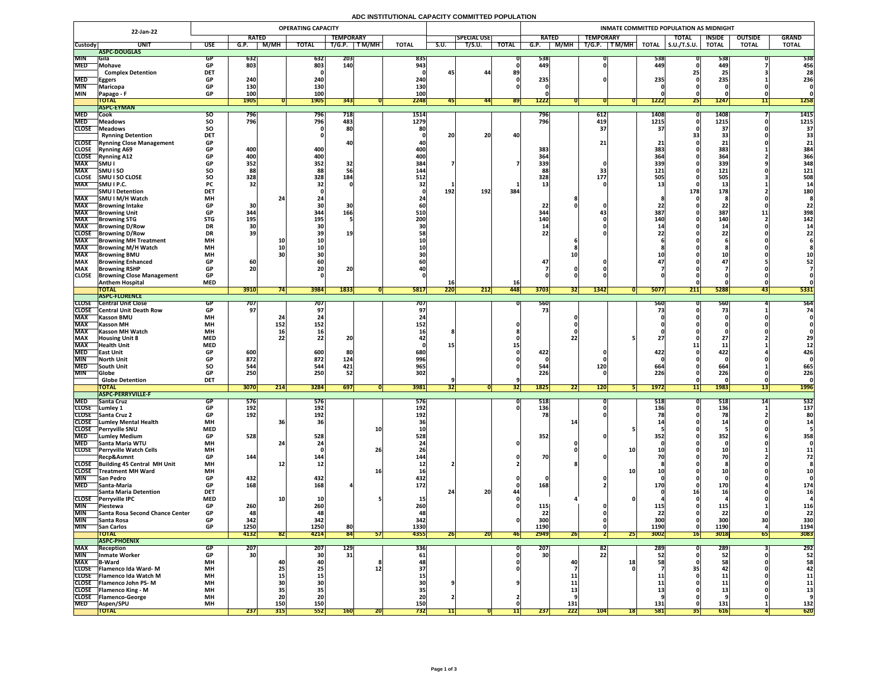# **ADC INSTITUTIONAL CAPACITY COMMITTED POPULATION**

|                          | 22-Jan-22                                                   | <b>OPERATING CAPACITY</b>           |                  |               |              |                  |              |              |              |                    |              | INMATE COMMITTED POPULATION AS MIDNIGHT |           |                  |              |                     |               |                |              |  |  |  |  |
|--------------------------|-------------------------------------------------------------|-------------------------------------|------------------|---------------|--------------|------------------|--------------|--------------|--------------|--------------------|--------------|-----------------------------------------|-----------|------------------|--------------|---------------------|---------------|----------------|--------------|--|--|--|--|
|                          |                                                             |                                     | <b>RATED</b>     |               |              | <b>TEMPORARY</b> |              |              |              | <b>SPECIAL USE</b> |              | <b>RATED</b>                            |           | <b>TEMPORARY</b> |              | <b>TOTAL</b>        | <b>INSIDE</b> | <b>OUTSIDE</b> | <b>GRAND</b> |  |  |  |  |
| <b>Custody</b>           | <b>UNI</b>                                                  | <b>USE</b>                          | G.P.             | M/MH          | <b>TOTAL</b> | T/G.P.           | <b>TM/MH</b> | <b>TOTAL</b> | S.U.         | T/S.U.             | <b>TOTAL</b> | G.P.                                    | M/MH      | T/G.P.<br>T M/MH | <b>TOTAL</b> | $\vert$ S.U./T.S.U. | <b>TOTAL</b>  | <b>TOTAL</b>   | <b>TOTAL</b> |  |  |  |  |
|                          | ASPC-DOUGLAS                                                |                                     |                  |               |              |                  |              |              |              |                    |              |                                         |           |                  |              |                     |               |                |              |  |  |  |  |
| <b>MIN</b>               | <b>Sila</b>                                                 |                                     | 632              |               | 632          | <b>203</b>       |              | 835          |              |                    |              | 538                                     |           |                  | 538          |                     | 538           |                | 538          |  |  |  |  |
| <b>MED</b>               | <b>Mohave</b><br><b>Complex Detention</b>                   | <b>GP</b><br><b>DET</b>             | 803              |               | 803          | 140              |              | 943          |              | 44                 | 89           | 449                                     |           |                  | 449          |                     | 449           |                | 456<br>28    |  |  |  |  |
| <b>MED</b>               | <b>Eggers</b>                                               | <b>GP</b>                           | 240              |               | 240          |                  |              | 240          |              |                    |              | 235                                     |           |                  | 235          |                     | 235           |                | 236          |  |  |  |  |
| <b>MIN</b>               | Maricopa                                                    |                                     | 130              |               | 130          |                  |              | 130          |              |                    |              |                                         |           |                  |              |                     |               |                |              |  |  |  |  |
| <b>MIN</b>               | Papago - F                                                  | <b>GP</b>                           | 100              |               | 100          |                  |              | 100          |              |                    |              |                                         |           |                  |              |                     |               |                |              |  |  |  |  |
|                          | <b>TOTAL</b>                                                |                                     | <b>1905</b>      |               | <b>1905</b>  | 343              |              | 2248         |              | 44                 | <b>891</b>   | 1222                                    |           |                  | 1222         | <b>Z51</b>          | 1247          |                | 1258         |  |  |  |  |
|                          | <b>ASPC-EYMAN</b>                                           |                                     |                  |               |              |                  |              |              |              |                    |              |                                         |           |                  |              |                     |               |                |              |  |  |  |  |
| <b>MED</b>               | Cook                                                        | SO.                                 | 796              |               | 796          | 718              |              | 1514         |              |                    |              | 796                                     |           | 612              | 1408         |                     | 1408          |                | 1415         |  |  |  |  |
| <b>MED</b>               | <b>Meadows</b>                                              | <b>SO</b>                           | 796              |               | 796          | 483              |              | 1279         |              |                    |              | 796                                     |           | 419              | 1215         |                     | 1215          |                | 1215         |  |  |  |  |
| <b>CLOSE</b>             | <b>Meadows</b>                                              | <b>SO</b>                           |                  |               |              | 80               |              |              |              |                    |              |                                         |           |                  |              |                     |               |                | 37           |  |  |  |  |
|                          | <b>Rynning Detention</b>                                    | <b>DET</b>                          |                  |               |              |                  |              |              | 20           | <b>20</b>          | 40           |                                         |           |                  | 21           |                     |               |                | 33           |  |  |  |  |
| <b>CLOSE</b>             | <b>CLOSE</b> Rynning Close Management<br><b>Rynning A69</b> | <b>GP</b><br>$\bullet$<br><b>GP</b> | 400              |               | 400          |                  |              | 400          |              |                    |              | 383                                     |           | 21<br><u>_ _</u> | 383          |                     | 383           |                | 21<br>384    |  |  |  |  |
| <b>CLOSE</b>             | <b>Rynning A12</b>                                          | <b>GP</b>                           | 400              |               | 400          |                  |              | 400          |              |                    |              | 364                                     |           |                  | 364          |                     | 364           |                | 366          |  |  |  |  |
| <b>MAX</b>               | <b>SMUI</b>                                                 | <b>GP</b>                           | 352              |               | 352          | 32               |              | 384          |              |                    |              | 339                                     |           |                  | <b>339</b>   |                     | 339           |                | 348          |  |  |  |  |
| <b>MAX</b>               | <b>SMUISO</b>                                               | <b>SO</b>                           | 88               |               | 88           |                  |              | 144          |              |                    |              |                                         |           | 33               | 121          |                     | 121           |                | 121          |  |  |  |  |
| <b>CLOSE</b>             | <b>SMU I SO CLOSE</b>                                       | <b>SO</b>                           | 328              |               | 328          | 184              |              | 512          |              |                    |              | 328                                     |           | 177              | 505          |                     | 505           |                | 508          |  |  |  |  |
| <b>MAX</b>               | SMU I P.C.                                                  | <b>PC</b>                           | 32               |               |              |                  |              |              |              |                    |              |                                         |           |                  |              |                     |               |                |              |  |  |  |  |
|                          | <b>SMU I Detention</b>                                      | <b>DET</b>                          |                  |               |              |                  |              |              | <b>192</b>   | 192                | 384          |                                         |           |                  |              | 178                 | 178           |                | <b>180</b>   |  |  |  |  |
| <b>MAX</b>               | SMU I M/H Watch                                             | <b>MH</b>                           |                  |               |              |                  |              |              |              |                    |              |                                         |           |                  |              |                     |               |                |              |  |  |  |  |
| <b>MAX</b>               | <b>IBrowning Intake</b>                                     | <b>GP</b>                           | 30               |               |              |                  |              |              |              |                    |              | 22                                      |           |                  |              |                     |               |                |              |  |  |  |  |
| <b>MAX</b><br><b>MAX</b> | <b>Browning Unit</b>                                        | <b>GP</b><br><b>STG</b>             | 344<br>195       |               | 344<br>195   | 166              |              | 510<br>200   |              |                    |              | 344<br><b>140</b>                       |           |                  | 387<br>1 A M |                     | 387<br>140    |                | 398<br>142   |  |  |  |  |
| <b>MAX</b>               | <b>Browning STG</b><br><b>Browning D/Row</b>                | <b>DR</b>                           | 30               |               |              |                  |              |              |              |                    |              |                                         |           |                  |              |                     |               |                |              |  |  |  |  |
| <b>CLOSE</b>             | <b>IBrowning D/Row</b>                                      | <b>DR</b>                           |                  |               |              | 19               |              |              |              |                    |              |                                         |           |                  |              |                     |               |                |              |  |  |  |  |
| <b>MAX</b>               | <b>Browning MH Treatment</b>                                | <b>MH</b>                           |                  | TŲ            |              |                  |              |              |              |                    |              |                                         |           |                  |              |                     |               |                |              |  |  |  |  |
| <b>MAX</b>               | <b>TBrowning M/H Watch</b>                                  | <b>MH</b>                           |                  | <b>10</b>     |              |                  |              |              |              |                    |              |                                         |           |                  |              |                     |               |                |              |  |  |  |  |
| <b>MAX</b>               | <b>Browning BMU</b>                                         | <b>MH</b>                           |                  |               |              |                  |              |              |              |                    |              |                                         |           |                  |              |                     |               |                |              |  |  |  |  |
| <b>MAX</b>               | <b>Browning Enhanced</b>                                    | <b>GP</b>                           | 60               |               |              |                  |              |              |              |                    |              |                                         |           |                  |              |                     |               |                |              |  |  |  |  |
| <b>MAX</b>               | <b>Browning RSHP</b>                                        | <b>GP</b>                           | <b>20</b>        |               | ZUI          | ZU               |              |              |              |                    |              |                                         |           |                  |              |                     |               |                |              |  |  |  |  |
| <b>CLOSE</b>             | <b>Browning Close Management</b>                            | <b>GP</b>                           |                  |               |              |                  |              |              |              |                    |              |                                         |           |                  |              |                     |               |                |              |  |  |  |  |
|                          | <b>Anthem Hospital</b>                                      | <b>MED</b>                          |                  |               |              |                  |              |              |              |                    | <b>16</b>    |                                         |           |                  |              |                     |               |                |              |  |  |  |  |
|                          | <b>TOTAL</b><br><b>ASPC-FLORENCE</b>                        |                                     | 3910             |               | 3984         | 1833             |              | <b>5817</b>  | 220          | 212                | 448          | 3703                                    | <b>32</b> | 1342             | 5077         | 211                 | 5288          | 431            | 5331         |  |  |  |  |
| <b>CLOSE</b>             | <b>Central Unit Close</b>                                   |                                     | 707              |               | 707          |                  |              | 707          |              |                    |              | 560                                     |           |                  | 560          |                     | <b>560</b>    |                | 564          |  |  |  |  |
| <b>CLOSE</b>             | <b>Central Unit Death Row</b>                               |                                     | 97               |               |              |                  |              | 97           |              |                    |              | 731                                     |           |                  |              |                     |               |                |              |  |  |  |  |
| <b>MAX</b>               | <b>Kasson BMU</b>                                           | <b>MH</b>                           |                  |               |              |                  |              |              |              |                    |              |                                         |           |                  |              |                     |               |                |              |  |  |  |  |
| <b>MAX</b>               | <b>Kasson MH</b>                                            | <b>MH</b>                           |                  | 152           | 152          |                  |              | 152          |              |                    |              |                                         |           |                  |              |                     |               |                |              |  |  |  |  |
| <b>MAX</b>               | <b>Kasson MH Watch</b>                                      | <b>MH</b>                           |                  |               |              |                  |              |              |              |                    |              |                                         |           |                  |              |                     |               |                |              |  |  |  |  |
| <b>MAX</b>               | <b>Housing Unit 8</b>                                       | <b>MED</b>                          |                  |               |              | ZU               |              |              |              |                    |              |                                         |           |                  |              |                     | $\leftarrow$  |                |              |  |  |  |  |
| <b>MAX</b>               | <b>Health Unit</b>                                          | <b>MED</b>                          |                  |               |              |                  |              |              |              |                    |              |                                         |           |                  |              |                     | یک برای       |                |              |  |  |  |  |
| <b>MED</b><br><b>MIN</b> | <b>TEast Unit</b>                                           | <b>GP</b>                           | 600              |               | 600          | 80               |              | 680          |              |                    |              | 422                                     |           |                  | 422          |                     | 422           |                | 426          |  |  |  |  |
| <b>MED</b>               | <b>North Unit</b><br>South Unit                             | <b>SO</b>                           | 872<br>544       |               | 872<br>544   | 124<br>421       |              | 996<br>965   |              |                    |              | 544                                     |           | <b>120</b>       | 664          |                     | 664           |                | 665          |  |  |  |  |
| <b>MIN</b>               | <b>Globe</b>                                                |                                     | 250 <sub>1</sub> |               | 250          | 52               |              | 302          |              |                    |              | 226                                     |           |                  | 226          |                     | 226           |                | 226          |  |  |  |  |
|                          | <b>Globe Detention</b>                                      | <b>DET</b>                          |                  |               |              |                  |              |              |              |                    |              |                                         |           |                  |              |                     |               |                |              |  |  |  |  |
|                          | <b>TOTAL</b>                                                |                                     | 3070             | $\boxed{214}$ | 3284         | 697              |              | 3981         |              |                    | <b>321</b>   | 1825                                    | ZZ        | 120              | <b>1972</b>  | 11                  | <b>1983</b>   |                | <b>1996</b>  |  |  |  |  |
|                          | <b>ASPC-PERRYVILLE-F</b>                                    |                                     |                  |               |              |                  |              |              |              |                    |              |                                         |           |                  |              |                     |               |                |              |  |  |  |  |
| <b>MED</b>               | <b>Santa Cruz</b>                                           |                                     | 5/6              |               | 576          |                  |              | <b>576</b>   |              |                    |              | 518                                     |           |                  | 518          |                     | 518           |                | 532          |  |  |  |  |
| <b>CLOSE</b>             | Lumley 1                                                    |                                     | 192              |               | 192          |                  |              | 192          |              |                    |              | 136                                     |           |                  | 136          |                     | 136           |                | 137          |  |  |  |  |
|                          | CLOSE Santa Cruz 2                                          | <b>GP</b>                           | 192              |               | 192          |                  |              | 192          |              |                    |              | 78                                      |           |                  |              |                     |               |                | 80           |  |  |  |  |
| <b>CLOSE</b>             | <b>CLOSE</b> Lumley Mental Health<br><b>Perryville SNU</b>  | <b>MH</b><br><b>MED</b>             |                  |               |              |                  | - 11         |              |              |                    |              |                                         |           |                  |              |                     |               |                |              |  |  |  |  |
| <b>MED</b>               | <b>Lumley Medium</b>                                        | <b>GP</b>                           | 528              |               | 528          |                  |              | 528          |              |                    |              | 352                                     |           |                  | 352l         |                     | 352           |                | 358          |  |  |  |  |
| <b>MED</b>               | <b>Santa Maria WTU</b>                                      | <b>MH</b>                           |                  |               |              |                  |              |              |              |                    |              |                                         |           |                  |              |                     |               |                |              |  |  |  |  |
| <b>CLOSE</b>             | <b>Perryville Watch Cells</b>                               | <b>MH</b>                           |                  |               |              |                  | 26           |              |              |                    |              |                                         |           |                  |              |                     | --            |                |              |  |  |  |  |
|                          | Recp&Asmnt                                                  | <b>GP</b>                           | 144              |               | 144          |                  |              | 144          |              |                    |              | 70                                      |           |                  |              |                     |               |                |              |  |  |  |  |
|                          | CLOSE Building 45 Central MH Unit                           | <b>MH</b>                           |                  | 12            |              |                  |              |              |              |                    |              |                                         |           |                  |              |                     |               |                |              |  |  |  |  |
| CLOSE                    | <b>Treatment MH Ward</b>                                    | <b>MH</b>                           |                  |               |              |                  |              |              |              |                    |              |                                         |           |                  |              |                     |               |                |              |  |  |  |  |
| <b>MIN</b>               | <b>San Pedro</b>                                            | <b>GP</b>                           | 432              |               | 432          |                  |              | 432          |              |                    |              |                                         |           |                  |              |                     |               |                |              |  |  |  |  |
| <b>MED</b>               | <b>Santa-Maria</b>                                          | <b>GP</b>                           | 168              |               | 168          |                  |              | 172          |              |                    |              | 168                                     |           |                  |              |                     | <b>170</b>    |                | 174          |  |  |  |  |
| <b>CLOSE</b>             | <b>Santa Maria Detention</b><br><b>Perryville IPC</b>       | <b>DET</b><br><b>MED</b>            |                  |               |              |                  |              |              |              | 20                 |              |                                         |           |                  |              |                     |               |                |              |  |  |  |  |
| MIN                      | $\bigcap$ Piestewa                                          | <b>GP</b>                           | 260              |               | 260          |                  |              | 260          |              |                    |              | 115                                     |           |                  |              |                     | <b>115</b>    |                | 116          |  |  |  |  |
| MIN                      | Santa Rosa Second Chance Center                             | <b>GP</b>                           |                  |               | 48           |                  |              |              |              |                    |              |                                         |           |                  | ᆂᆂᇦ          |                     | LL            |                | 22           |  |  |  |  |
| <b>MIN</b>               | Santa Rosa                                                  | <b>GP</b>                           | 342              |               | 342          |                  |              | <b>342</b>   |              |                    |              | 300                                     |           |                  | 300          |                     | 300           | 30             | 330          |  |  |  |  |
| <b>MIN</b>               | <b>San Carlos</b>                                           | <b>GP</b>                           | 1250             |               | 1250         | 80               |              | 1330         |              |                    |              | 1190                                    |           |                  | <b>1190</b>  |                     | 1190          |                | 1194         |  |  |  |  |
|                          | <b>TOTAL</b>                                                |                                     | 4132             | <b>821</b>    | 4214         | 84               |              | 4355         | $\mathbf{Z}$ | ZUI                | <b>461</b>   | 2949                                    | <b>ZD</b> | 25               | 3002         |                     | 3018          | 65             | 3083         |  |  |  |  |
|                          | <b>ASPC-PHOENIX</b>                                         |                                     |                  |               |              |                  |              |              |              |                    |              |                                         |           |                  |              |                     |               |                |              |  |  |  |  |
| <b>MAX</b>               | <b> Reception</b>                                           |                                     | ZU Z             |               | 207          | <b>129</b>       |              | 336          |              |                    |              | 207                                     |           | 82               | 289          |                     | <b>289</b>    |                | 292          |  |  |  |  |
| MIN                      | Inmate Worker                                               | <b>GP</b>                           | 30               |               | <b>3U</b>    | 31               |              | 61           |              |                    |              | 30 <sup>1</sup>                         |           | 22               |              |                     | 52            |                | 52           |  |  |  |  |
| <b>MAX</b>               | <b>B-Ward</b><br>CLOSE   Flamenco Ida Ward-M                | <b>MH</b><br><b>MH</b>              |                  |               | <b>40</b>    |                  |              |              |              |                    |              |                                         | 40        | 18               |              |                     |               |                |              |  |  |  |  |
|                          | CLOSE   Flamenco Ida Watch M                                | <b>MH</b>                           |                  | 25            |              |                  |              |              |              |                    |              |                                         |           |                  |              |                     |               |                | 11           |  |  |  |  |
|                          | <b>CLOSE</b> Flamenco John PS-M                             | <b>MH</b>                           |                  |               |              |                  |              |              |              |                    |              |                                         |           |                  |              |                     | ال طلب<br>ᆂ   |                | 11           |  |  |  |  |
|                          | <b>CLOSE</b> Flamenco King - M                              | <b>MH</b>                           |                  |               |              |                  |              |              |              |                    |              |                                         |           |                  |              |                     |               |                |              |  |  |  |  |
|                          | CLOSE   Flamenco-George                                     | <b>MH</b>                           |                  | ZL            | ZU           |                  |              |              |              |                    |              |                                         |           |                  |              |                     |               |                |              |  |  |  |  |
| <b>MED</b>               | <b>Aspen/SPU</b>                                            | <b>MH</b>                           |                  | <b>150</b>    | 150          |                  |              | 150          |              |                    |              |                                         | 131       |                  | 131          |                     | 131           |                | 132          |  |  |  |  |
|                          | <b>TOTAL</b>                                                |                                     | 237              | 315           | 552          |                  |              | /32V         |              |                    |              | 237                                     | 222       | 104 <br>18       | <b>581</b>   |                     | 616           |                | 620          |  |  |  |  |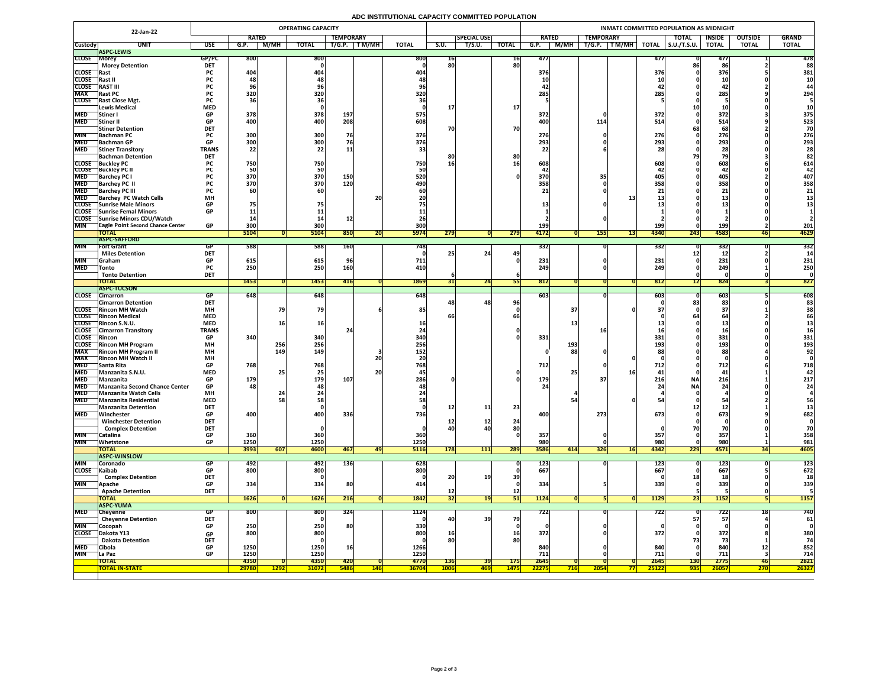# **ADC INSTITUTIONAL CAPACITY COMMITTED POPULATION**

|                          | 22-Jan-22                                                   |                         |                  |              | <b>OPERATING CAPACITY</b> |                  |            |                    |                 |                    |              |                            |                  |              |                     | INMATE COMMITTED POPULATION AS MIDNIGHT |                       |                |               |  |  |
|--------------------------|-------------------------------------------------------------|-------------------------|------------------|--------------|---------------------------|------------------|------------|--------------------|-----------------|--------------------|--------------|----------------------------|------------------|--------------|---------------------|-----------------------------------------|-----------------------|----------------|---------------|--|--|
|                          |                                                             |                         | <b>RATED</b>     |              |                           | <b>TEMPORARY</b> |            |                    |                 | <b>SPECIAL USE</b> |              | <b>RATED</b>               | <b>TEMPORARY</b> |              |                     | <b>TOTAL</b>                            | <b>INSIDE</b>         | <b>OUTSIDE</b> | <b>GRAND</b>  |  |  |
| <b>Custody</b>           | <b>UNIT</b>                                                 | <b>USE</b>              | G.P.             | M/MH         | <b>TOTAL</b>              | T/G.P.           | T M/MH     | <b>TOTAL</b>       | S.U.            | T/S.U.             | <b>TOTAL</b> | M/MH<br>$G.\overline{P}$ . | T/G.P.<br>TM/MH  | <b>TOTAL</b> | $\vert$ S.U./T.S.U. |                                         | <b>TOTAL</b>          | <b>TOTAL</b>   | <b>TOTAL</b>  |  |  |
|                          | <b>ASPC-LEWIS</b>                                           |                         |                  |              |                           |                  |            |                    |                 |                    |              |                            |                  |              |                     |                                         |                       |                |               |  |  |
| <b>CLOSE Morey</b>       | <b>Morey Detention</b>                                      | GP/PC<br><b>DET</b>     | <b>800</b>       |              | 800                       |                  |            | 800                | TP.<br>80       |                    | 16<br>80     | 477                        |                  |              | 477                 |                                         | 477<br>86             |                | 478<br>88     |  |  |
| <b>CLOSE</b> Rast        |                                                             | <b>PC</b>               | 404              |              | 404                       |                  |            | 404                |                 |                    |              | 376                        |                  |              | 376                 |                                         | 376                   |                | 381           |  |  |
| <b>CLOSE</b>             | Rast II                                                     |                         |                  |              |                           |                  |            |                    |                 |                    |              |                            |                  |              |                     |                                         |                       |                |               |  |  |
| <b>CLOSE</b>             | <b>RAST III</b>                                             | rl.                     |                  |              | <b>JD</b>                 |                  |            |                    |                 |                    |              |                            |                  |              |                     |                                         | 42                    |                |               |  |  |
| <b>MAX</b>               | <b>Rast PC</b>                                              | <b>PC</b>               | 320              |              | 320                       |                  |            | 320                |                 |                    |              | 285                        |                  |              | 285                 |                                         | 285                   |                | 294           |  |  |
|                          | <b>CLOSE</b> Rast Close Mgt.                                | <b>PC</b>               |                  |              |                           |                  |            |                    |                 |                    |              |                            |                  |              |                     |                                         |                       |                |               |  |  |
|                          | Lewis Medical                                               | <b>MED</b>              |                  |              |                           |                  |            |                    |                 |                    | <b>17</b>    |                            |                  |              |                     |                                         |                       |                |               |  |  |
| <b>MED</b>               | <b>Stiner</b> I                                             | <b>GP</b>               | 378              |              | 378                       | 197              |            | 575                |                 |                    |              | 372                        |                  |              | 372                 |                                         | 372                   |                | 375           |  |  |
| <b>MED</b>               | <b>Stiner II</b>                                            | <b>GP</b>               | 400              |              | 400                       | 208              |            | 608                |                 |                    |              | 400                        | 114              |              | 514                 |                                         | 514                   |                | 523           |  |  |
| <b>MIN</b>               | <b>Stiner Detention</b><br><b>Bachman PC</b>                | <b>DET</b>              | 300              |              | 300                       | 76               |            | 376                | 70              |                    | 70           | 276                        |                  |              | 276                 |                                         | 68<br><b>276</b>      |                | 70<br>276     |  |  |
|                          | MED Bachman GP                                              | GD.                     | 300 <sub>l</sub> |              | 300                       |                  |            | 376                |                 |                    |              | 293                        |                  |              | 203                 |                                         | 293                   |                | 293           |  |  |
| <b>MED</b>               | <b>Stiner Transitory</b>                                    | VГ<br><b>TRANS</b>      | <b>JUU</b><br>22 |              | 22                        | ᆂᆂ               |            |                    |                 |                    |              | <b>239</b>                 |                  |              | ムフコ                 |                                         |                       |                |               |  |  |
|                          | <b>Bachman Detention</b>                                    | <b>DET</b>              |                  |              |                           |                  |            |                    | 8C              |                    | 80           |                            |                  |              |                     |                                         |                       |                |               |  |  |
|                          | <b>CLOSE</b> Buckley PC                                     |                         | 750              |              | 750                       |                  |            | 750                | 16              |                    |              | 608                        |                  |              | 608                 |                                         | 608                   |                | 614           |  |  |
|                          | <b>CLOSE</b> Buckley PC II                                  |                         |                  |              | 50                        |                  |            |                    |                 |                    |              |                            |                  |              |                     |                                         |                       |                |               |  |  |
| <b>MED</b>               | <b>Barchey PC I</b>                                         |                         | 370              |              | 370                       | 150              |            | 520                |                 |                    |              | 370                        |                  |              |                     |                                         |                       |                | 407           |  |  |
| <b>MED</b>               | <b>Barchey PC II</b>                                        |                         | 370              |              | 370                       | 120              |            | 490                |                 |                    |              | 358                        |                  |              | 358                 |                                         | 358                   |                | 358           |  |  |
| <b>MED</b><br><b>MED</b> | <b>Barchey PC III</b><br><b>Barchey PC Watch Cells</b>      | <b>MH</b>               |                  |              |                           |                  | 20         |                    |                 |                    |              |                            |                  |              |                     |                                         |                       |                | 21            |  |  |
|                          | CLOSE Sunrise Male Minors                                   | <b>GP</b>               |                  |              |                           |                  |            |                    |                 |                    |              |                            |                  |              |                     |                                         | ے طلع                 |                |               |  |  |
|                          | CLOSE Sunrise Femal Minors                                  | <b>GP</b>               |                  |              |                           |                  |            |                    |                 |                    |              |                            |                  |              |                     |                                         |                       |                |               |  |  |
|                          | CLOSE Sunrise Minors CDU/Watch                              |                         |                  |              |                           |                  |            |                    |                 |                    |              |                            |                  |              |                     |                                         |                       |                |               |  |  |
| <b>MIN</b>               | <b>TEagle Point Second Chance Center</b>                    | <b>GP</b>               | 300              |              | 300                       |                  |            | 300                |                 |                    |              | 199                        |                  |              | 199                 |                                         | 199                   |                | 201           |  |  |
|                          | <b>TOTAL</b>                                                |                         | 5104             |              | 5104                      | 850              | <b>ZU</b>  | <b>5974</b>        | 279             |                    | 279          | 4172                       | 155              | <b>4317</b>  | 4340                | 243                                     | 4583                  | 461            | 4629          |  |  |
|                          | <b>ASPC-SAFFORD</b>                                         |                         |                  |              |                           |                  |            |                    |                 |                    |              |                            |                  |              |                     |                                         |                       |                |               |  |  |
| <b>MIN</b>               | <b>Fort Grant</b>                                           | GP                      | 588              |              | 588                       | <b>160</b>       |            | 7481               |                 |                    |              | 332                        |                  |              | <b>3321</b>         |                                         | 332                   |                | 332           |  |  |
| <b>MIN</b>               | <b>Miles Detention</b><br><b>Sraham</b>                     | <b>DET</b><br><b>GP</b> | 615              |              | 615                       |                  |            | 711                |                 | 24                 | 49           | 231                        |                  |              | 231                 |                                         | 231                   |                | 231           |  |  |
| <b>MED</b>               | <b>Tonto</b>                                                | <b>PC</b>               | 250              |              | 250                       | 160              |            | 410                |                 |                    |              | 249                        |                  |              | 249                 |                                         | 249                   |                | 250           |  |  |
|                          | <b>Tonto Detention</b>                                      | <b>DET</b>              |                  |              |                           |                  |            |                    |                 |                    |              |                            |                  |              |                     |                                         |                       |                |               |  |  |
|                          | <b>TOTAL</b>                                                |                         | 1453             |              | 1453                      | 416              |            | 1869               |                 | 24                 |              | 812                        |                  |              | 812                 |                                         | 824                   |                | 827           |  |  |
|                          | <b>ASPC-TUCSON</b>                                          |                         |                  |              |                           |                  |            |                    |                 |                    |              |                            |                  |              |                     |                                         |                       |                |               |  |  |
|                          | CLOSE Cimarron                                              | GP.                     | 648              |              | 648                       |                  |            | 648                |                 |                    |              | 603                        |                  |              | 603                 |                                         | 603                   |                | 608           |  |  |
|                          | <b>Cimarron Detention</b>                                   | <b>DET</b>              |                  |              |                           |                  |            |                    |                 | 48                 | 96           |                            |                  |              |                     |                                         | 83                    |                |               |  |  |
|                          | <b>CLOSE</b> Rincon MH Watch<br><b>CLOSE</b> Rincon Medical | <b>MH</b><br><b>MED</b> |                  |              | 79                        |                  |            | 85                 |                 |                    |              |                            | 37               |              |                     |                                         |                       |                |               |  |  |
|                          | CLOSE Rincon S.N.U.                                         | <b>MED</b>              |                  |              | 16                        |                  |            |                    | bt              |                    |              |                            |                  |              |                     |                                         |                       |                |               |  |  |
|                          | <b>CLOSE</b> Cimarron Transitory                            | <b>TRANS</b>            |                  |              |                           |                  |            |                    |                 |                    |              |                            |                  |              |                     |                                         |                       |                |               |  |  |
| <b>CLOSE</b> Rincon      |                                                             | <b>GP</b>               | <b>340</b>       |              | 340                       |                  |            | <b>340</b>         |                 |                    |              | 331                        |                  |              | 331                 |                                         | 331                   |                | 331           |  |  |
|                          | <b>CLOSE</b> Rincon MH Program                              | <b>MH</b>               |                  | 256          | 256                       |                  |            | 256                |                 |                    |              | 193                        |                  |              | 193                 |                                         | <b>193</b>            |                | 193           |  |  |
| <b>MAX</b>               | <b>Rincon MH Program II</b>                                 | <b>MH</b>               |                  | 149          | <b>149</b>                |                  |            | 152                |                 |                    |              |                            | 88               |              |                     |                                         | 88                    |                | 92            |  |  |
| <b>MAX</b>               | <b>Rincon MH Watch II</b>                                   | <b>MH</b>               |                  |              |                           |                  | 20         |                    |                 |                    |              |                            |                  |              |                     |                                         |                       |                |               |  |  |
| <b>MED</b>               | <b>Santa Rita</b>                                           | <b>GP</b>               | 768              |              | 768                       |                  |            | 768                |                 |                    |              | 712                        |                  |              | 712                 |                                         | 712                   |                | 718           |  |  |
| <b>MED</b><br><b>MED</b> | Manzanita S.N.U.                                            | <b>MED</b><br><b>GP</b> | 179              |              | 25<br>179                 | 107              | <b>20</b>  | 286                |                 |                    |              | 25<br><b>179</b>           |                  |              | 216                 | <b>NA</b>                               | 41<br>216             |                | 217           |  |  |
|                          | Manzanita<br>MED Manzanita Second Chance Center             | <b>GP</b>               | 481              |              | 48                        |                  |            |                    |                 |                    |              |                            |                  |              |                     | <b>NA</b>                               | $\mathbf{Z}^{\prime}$ |                | <b>Z4</b>     |  |  |
| <b>MED</b>               | <b>Manzanita Watch Cells</b>                                | <b>MH</b>               |                  |              |                           |                  |            |                    |                 |                    |              |                            |                  |              |                     |                                         |                       |                |               |  |  |
| <b>MED</b>               | Manzanita Residential                                       | <b>MED</b>              |                  |              | <b>58</b>                 |                  |            |                    |                 |                    |              |                            |                  |              |                     |                                         |                       |                | 56            |  |  |
|                          | <b>Manzanita Detention</b>                                  | <b>DET</b>              |                  |              |                           |                  |            |                    | 12              | 11                 | 23           |                            |                  |              |                     |                                         |                       |                |               |  |  |
| <b>MED</b>               | Winchester                                                  | <b>GP</b>               | 400              |              | 400                       | 336              |            | <b>736</b>         |                 |                    |              | 400                        | 273              |              | 673                 |                                         | 673                   |                | 682           |  |  |
|                          | <b>Winchester Detention</b>                                 | <b>DET</b>              |                  |              |                           |                  |            |                    |                 | <b>12</b>          | 24           |                            |                  |              |                     |                                         |                       |                |               |  |  |
|                          | <b>Complex Detention</b>                                    | <b>DET</b>              |                  |              |                           |                  |            |                    | 40              |                    | 80           |                            |                  |              |                     |                                         |                       |                |               |  |  |
| <b>MIN</b><br><b>MIN</b> | Catalina                                                    | <b>GP</b><br><b>GP</b>  | 360<br>1250      |              | 360<br>1250               |                  |            | <b>360</b><br>1250 |                 |                    |              | 357<br>980                 |                  |              | 357<br>980          |                                         | 357<br>980            |                | 358<br>981    |  |  |
|                          | Whetstone<br><b>TOTAL</b>                                   |                         | 3993             | 607          | <b>4600</b>               | 467              | 47         | <b>5116</b>        | 178             | 111                | 289          | 3586<br>414                | <b>326</b>       | <b>16</b>    | 4342                | 229                                     | 4571                  |                | 4605          |  |  |
|                          | <b>IASPC-WINSLOW</b>                                        |                         |                  |              |                           |                  |            |                    |                 |                    |              |                            |                  |              |                     |                                         |                       |                |               |  |  |
| <b>MIN</b>               | <b>Coronado</b>                                             | GP.                     | 492              |              | <b>492</b>                | 136              |            | 628                |                 |                    |              | <b>123</b>                 |                  |              | 123                 |                                         | 123                   |                | <b>123</b>    |  |  |
| CLOSE Kaibab             |                                                             | GP                      | 800              |              | 800                       |                  |            | 800                |                 |                    |              | 667                        |                  |              | 667                 |                                         | 667                   |                | 672           |  |  |
|                          | <b>Complex Detention</b>                                    | <b>DET</b>              |                  |              |                           |                  |            |                    | 20 <sub>1</sub> | <b>10</b>          | 39           |                            |                  |              |                     |                                         |                       |                |               |  |  |
| <b>MIN</b>               | <b>Apache</b>                                               | <b>GP</b>               | 334              |              | 334                       | 80               |            | 414                |                 |                    |              | 334                        |                  |              | 339                 |                                         | 339                   |                | 339           |  |  |
|                          | <b>Apache Detention</b>                                     | <b>DET</b>              |                  |              |                           |                  |            |                    |                 |                    | <b>12</b>    |                            |                  |              |                     |                                         |                       |                |               |  |  |
|                          | <b>TOTAL</b>                                                |                         | <b>1626</b>      |              | 1626                      | 216              |            | 1842               | 32              |                    | 51           | 1124                       |                  | <b>1129</b>  |                     | <b>ZJI</b>                              | <b>1152</b>           |                | <b>1157</b>   |  |  |
| <b>MED</b>               | <b>ASPC-YUMA</b><br>Cheyenne                                | GP                      | <b>800</b>       |              | 800                       | 32 <sup>L</sup>  |            | 1124               |                 |                    |              | 722                        |                  |              | 722                 |                                         |                       |                | 740           |  |  |
|                          | <b>Cheyenne Detention</b>                                   | <b>DET</b>              |                  |              |                           |                  |            |                    | 40              | <b>39</b>          | 79           |                            |                  |              |                     | 57                                      | 122                   |                | 61            |  |  |
| <b>MIN</b>               | Cocopah                                                     | <b>GP</b>               | 250              |              | 250                       | <b>80</b>        |            | 330                |                 |                    |              |                            |                  |              |                     |                                         |                       |                |               |  |  |
| <b>CLOSE</b>             | Dakota Y13                                                  | <b>GP</b>               | 800              |              | 800                       |                  |            | 800                | 16              |                    | <b>16</b>    | 372                        |                  |              | 372                 |                                         | 372                   |                | 380           |  |  |
|                          | <b>Dakota Detention</b>                                     | <b>DET</b>              |                  |              |                           |                  |            |                    | 80              |                    | 80           |                            |                  |              |                     |                                         |                       |                | 74            |  |  |
| <b>MED</b>               | Cibola                                                      | <b>GP</b>               | 1250             |              | 1250                      | <b>16</b>        |            | 1266               |                 |                    |              | 840                        |                  |              | 840                 |                                         | 840                   | 12             | 852           |  |  |
| <b>MIN</b>               | La Paz                                                      | <b>GP</b>               | 1250             |              | 1250                      |                  |            | 1250               |                 |                    |              | 711                        |                  |              | 711                 |                                         | 711                   |                | 714           |  |  |
|                          | <b>TOTAL</b><br><b>TOTAL IN-STATE</b>                       |                         | 4350<br>29780    |              | 4350<br><b>31072</b>      | <b>420</b>       |            | 4770               | <b>136</b>      | <b>39</b>          | <b>175</b>   | 2645                       |                  |              | 2645                | <b>130</b><br><b>935</b>                | 2775                  | 46             | 2821<br>26327 |  |  |
|                          |                                                             |                         |                  | <u> 1292</u> |                           | <b>5486</b>      | <b>146</b> | <b>36704</b>       | <b>1006</b>     | <u> 469  </u>      | <b>1475</b>  | 22275<br><b>716</b>        | <b>2054</b>      | 25122        |                     |                                         | 26057                 | <b>270</b>     |               |  |  |